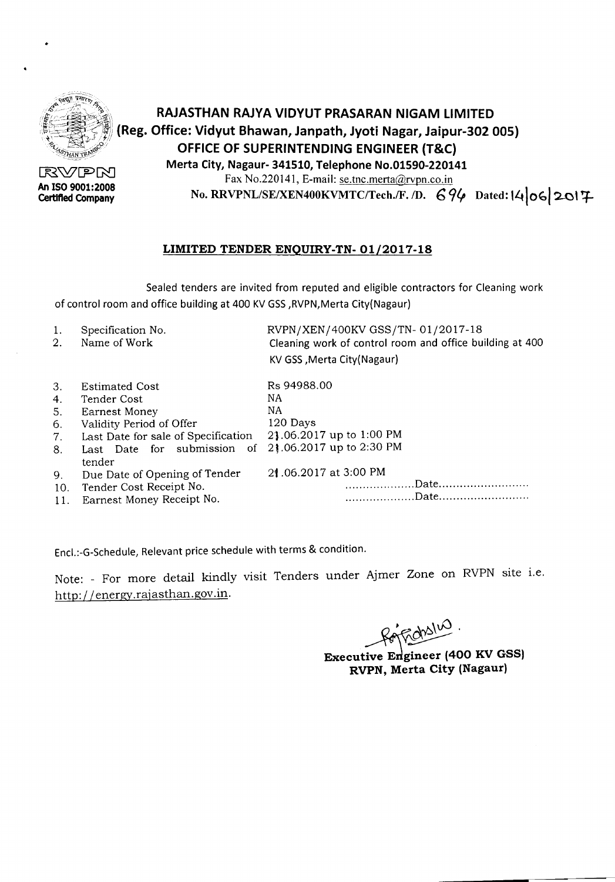

Certified Company

## '/f1~~'»' *\f:::~1;,\\* RAJASTHAN RAJYA VIDYUT PRASARAN NIGAM LIMITED *\\\~~~~\_:JS'J~)*(Reg. Office: Vidyut Bhawan, Janpath, Jyoti Nagar, Jaipur-302 OOS) OFFICE OF SUPERINTENDING ENGINEER (T&C)

**Merta City, Nagaur- 341510, Telephone No.01590-220141**<br>Exercise Starting Contract Contract Contract Contract Contract Contract Contract Contract Contract Contract Contract Contract Contract Contract Contract Contract Con Fax No.220141, E-mail: se.tnc.merta@rvpn.co.in An ISO 9001:2008<br>Certified Company No. RRVPNL/SE/XEN400KVMTC/Tech./F. /D. 694 Dated: 14 06 2017

## LIMITED TENDER ENQUIRY-TN-01/2017-18

Sealed tenders are invited from reputed and eligible contractors for Cleaning work of control room and office building at 400 KVGSS,RVPN,Merta City(Nagaur)

| 1. | Specification No. | RVPN/XEN/400KV GSS/TN-01/2017-18                         |
|----|-------------------|----------------------------------------------------------|
|    | Name of Work      | Cleaning work of control room and office building at 400 |
|    |                   | KV GSS, Merta City (Nagaur)                              |

| 3.   | <b>Estimated Cost</b>               | Rs 94988.00              |
|------|-------------------------------------|--------------------------|
| 4.   | Tender Cost                         | NA                       |
| 5.   | <b>Earnest Money</b>                | NA                       |
| 6.   | Validity Period of Offer            | 120 Days                 |
| 7.   | Last Date for sale of Specification | 21.06.2017 up to 1:00 PM |
| 8.   | Last Date for submission of         | 21.06.2017 up to 2:30 PM |
|      | tender                              |                          |
| 9.   | Due Date of Opening of Tender       | 21.06.2017 at 3:00 PM    |
| 10.  | Tender Cost Receipt No.             |                          |
| -11. | Earnest Money Receipt No.           |                          |

Encl.:-G-Schedule, Relevant price schedule with terms & condition.

Note: - For more detail kindly visit Tenders under Ajmer Zone on RVPN site i.e. http://energy.rajasthan.gov.in.

~¢.

Executive Engineer (400 KV GSS) RVPN, Merta City (Nagaur)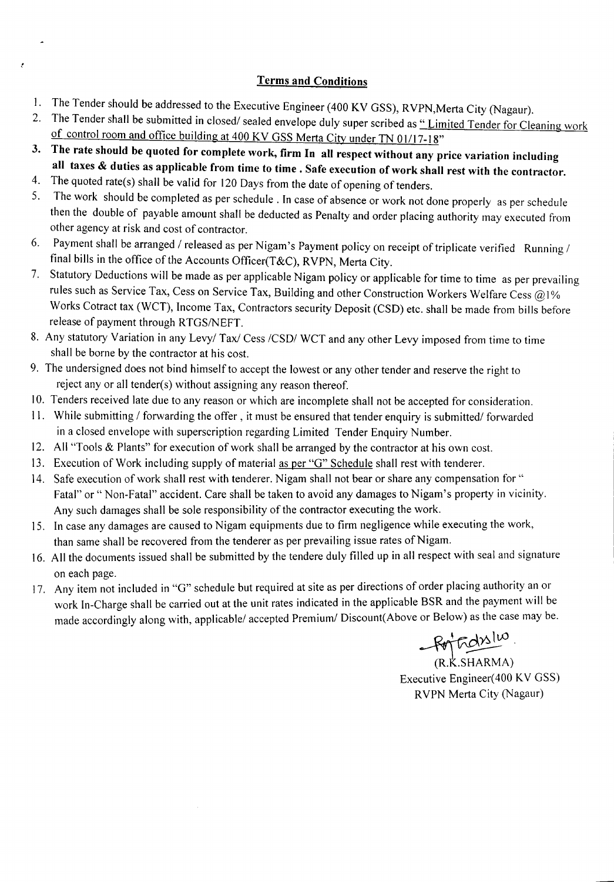### Terms and Conditions

- 1. The Tender should be addressed to the Executive Engineer (400 KV GSS), RVPN,Merta City (Nagaur).
- 2. The Tender shall be submitted in closed/ sealed envelope duly super scribed as "Limited Tender for Cleaning work of control room and office building at 400 KV GSS Merta City under TN 01/17-18"
- 3. The rate should be quoted for complete work, firm In all respect without any price variation including all taxes & duties as applicable from time to time. Safe execution of work shall rest with the contractor.
- 4. The quoted rate(s) shall be valid for  $120$  Days from the date of opening of tenders.<br>5. The work should be completed as per schedule. In 2000 of change as weak at d

 $\pmb{\varepsilon}$ 

- The work should be completed as per schedule. In case of absence or work not done properly as per schedule then the double of payable amount shall be deducted as Penalty and order placing authority may executed from other agency at risk and cost of contractor.
- 6. Payment shall be arranged / released as per Nigam's Payment policy on receipt of triplicate verified Running / final bills in the office of the Accounts Officer(T&C), RVPN, Merta City.
- 7. Statutory Deductions will be made as per applicable Nigam policy or applicable for time to time as per prevailing rules such as Service Tax, Cess on Service Tax, Building and other Construction Workers Welfare Cess @1% Works Cotract tax (WCT), Income Tax, Contractors security Deposit (CSD) etc. shall be made from bills before release of payment through RTGS/NEFT.
- 8. Any statutory Variation in any Levy/ Tax/ Cess /CSD/ WCT and any other Levy imposed from time to time shall be borne by the contractor at his cost.
- 9. The undersigned does not bind himself to accept the lowest or any other tender and reserve the right to reject any or all tender(s) without assigning any reason thereof.
- 10. Tenders received late due to any reason or which are incomplete shall not be accepted for consideration.
- 11. While submitting / forwarding the offer, it must be ensured that tender enquiry is submitted/forwarded in a closed envelope with superscription regarding Limited Tender Enquiry Number.
- 12. All "Tools & Plants" for execution of work shall be arranged by the contractor at his own cost.
- 13. Execution of Work including supply of material as per "G" Schedule shall rest with tenderer.
- 14. Safe execution of work shall rest with tenderer. Nigam shall not bear or share any compensation for" Fatal" or " Non-Fatal" accident. Care shall be taken to avoid any damages to Nigam's property in vicinity. Any such damages shall be sole responsibility of the contractor executing the work.
- 15. In case any damages are caused to Nigam equipments due to firm negligence while executing the work, than same shall be recovered from the tenderer as per prevailing issue rates of Nigam.
- 16. All the documents issued shall be submitted by the tendere duly filled up in all respect with seal and signature on each page.  $\blacksquare$
- 17. Any item not included in "G" schedule but required at site as per directions of order placing authority an or work In-Charge shall be carried out at the unit rates indicated in the applicable BSR and the payment will be made accordingly along with, applicable/ accepted Premium/ Discount(Above or Below) as the case may be.

 $-$ Rort

(R.K.SHA Executive Engineer(400 KV GSS) RVPN Merta City (Nagaur)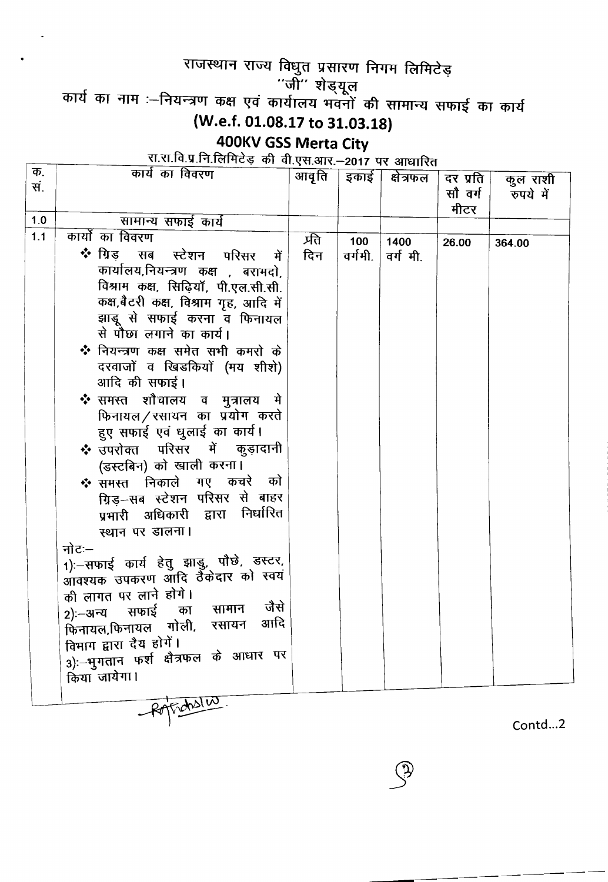# राजस्थान राज्य विधुत प्रसारण निगम लिमिटेड़

"जी" शेड्यू

कार्य का नाम :--नियन्त्रण कक्ष एवं कार्यालय भवनों की सामान्य सफाई का क्

(W.e.f. 01.08.17 to 31.03.18)

## 400KV GSS Merta City

रा.रा.वि.प्र.नि.लिमिटेड की वी.एस.आर.--2017 पर आधारि

| Ф.  | काय का विवरण                            | आवृति   | इकाई    | क्षेत्रफल | दर प्रति | कुल राशी  |
|-----|-----------------------------------------|---------|---------|-----------|----------|-----------|
| सं. |                                         |         |         |           | सौ वर्ग  | रुपये में |
|     |                                         |         |         |           | मीटर     |           |
| 1.0 | सामान्य सफाई कार्य                      |         |         |           |          |           |
| 1.1 | कार्यो का विवरण                         | र्प्रति | 100     | 1400      | 26.00    | 364.00    |
|     | ❖ ग्रिड<br>सब<br>स्टेशन परिसर<br>में    | दिन     | वर्गमी. | वर्गमी.   |          |           |
|     | कार्यालय,नियन्त्रण कक्ष , बरामदो,       |         |         |           |          |           |
|     | विश्राम कक्ष, सिढ़ियाँ, पी.एल.सी.सी.    |         |         |           |          |           |
|     | कक्ष,बैटरी कक्ष, विश्राम गृह, आदि में   |         |         |           |          |           |
|     | झाडू से सफाई करना व फिनायल              |         |         |           |          |           |
|     | से पौछा लगाने का कार्य।                 |         |         |           |          |           |
|     | ❖ नियन्त्रण कक्ष समेत सभी कमरो के       |         |         |           |          |           |
|     | दरवाजों व खिडकियों (मय शीशे)            |         |         |           |          |           |
|     | आदि की सफाई।                            |         |         |           |          |           |
|     | ❖ समस्त शौचालय व मुत्रालय मे            |         |         |           |          |           |
|     | फिनायल/रसायन का प्रयोग करते             |         |         |           |          |           |
|     |                                         |         |         |           |          |           |
|     | हुए सफाई एवं धुलाई का कार्य।            |         |         |           |          |           |
|     | ❖ उपरोक्त परिसर में कुड़ादानी           |         |         |           |          |           |
|     | (डस्टबिन) को खाली करना।                 |         |         |           |          |           |
|     | ❖ समस्त निकाले गए कचरे को               |         |         |           |          |           |
|     | ग्रिड़-सब स्टेशन परिसर से बाहर          |         |         |           |          |           |
|     | प्रभारी अधिकारी द्वारा निर्धारित        |         |         |           |          |           |
|     | स्थान पर डालना।                         |         |         |           |          |           |
|     | नोटः—                                   |         |         |           |          |           |
|     | 1):-सफाई कार्य हेतु झाडु, पौछे, डस्टर,  |         |         |           |          |           |
|     | .<br>आवश्यक उपकरण ऑदि ठैंकेदार को स्वयं |         |         |           |          |           |
|     | की लागत पर लाने होगे।                   |         |         |           |          |           |
|     | जैसे<br>सामान<br>2):—अन्य सफाई<br>का    |         |         |           |          |           |
|     | आदि<br>फिनायल,फिनायल गोली, रसायन        |         |         |           |          |           |
|     | विभाग द्वारा दैय होगें।                 |         |         |           |          |           |
|     | 3):-भुगतान फर्श क्षैत्रफल के आधार पर    |         |         |           |          |           |
|     | किया जायेगा।                            |         |         |           |          |           |
|     |                                         |         |         |           |          |           |
|     | Rotrasles                               |         |         |           |          |           |

Contd...2

----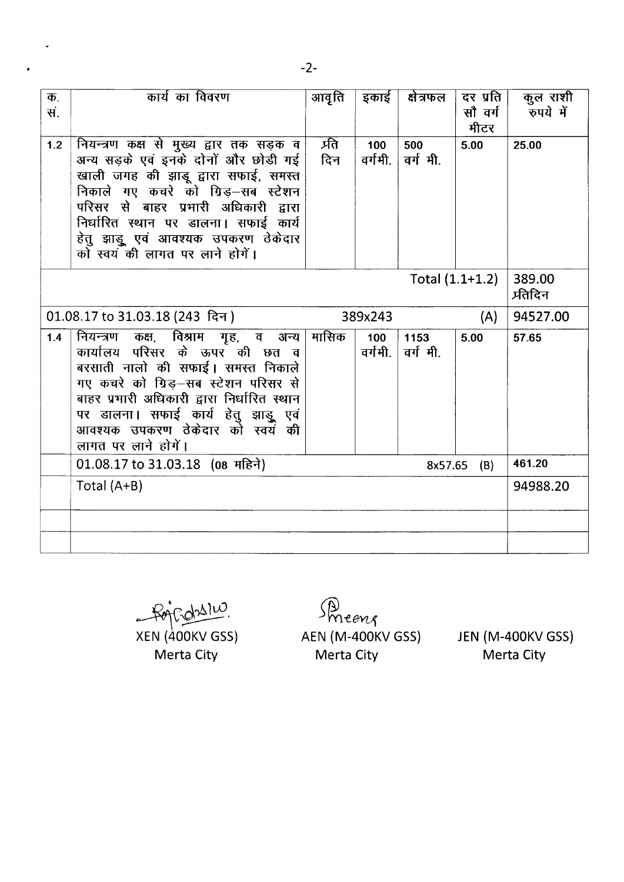|                                                   | कार्य का विवरण                                   |                            |                |           | दर प्रति |                       |  |
|---------------------------------------------------|--------------------------------------------------|----------------------------|----------------|-----------|----------|-----------------------|--|
| क.<br>सं.                                         |                                                  | आवृति                      | इकाई           | क्षेत्रफल |          | कुल राशी<br>रुपये में |  |
|                                                   |                                                  |                            |                |           | सौ वर्ग  |                       |  |
|                                                   |                                                  |                            |                |           | मीटर     |                       |  |
| 1.2                                               | नियन्त्रण कक्ष से मुख्य द्वार तक सड़क व          | प्रति                      | 100            | 500       | 5.00     | 25.00                 |  |
|                                                   | अन्य सड़के एवं इनके दोनों और छोडी गई             | दिन                        | वर्गमी. ।      | वर्गमी.   |          |                       |  |
|                                                   | खाली जगह की झाडू द्वारा सफाई, समस्त              |                            |                |           |          |                       |  |
|                                                   | निकाले गए कचरे को ग्रिड़—सब स्टेशन               |                            |                |           |          |                       |  |
|                                                   | परिसर से बाहर प्रभारी अधिकारी द्वारा             |                            |                |           |          |                       |  |
|                                                   | निर्धारित स्थान पर डालना। सफाई कार्य             |                            |                |           |          |                       |  |
|                                                   | हेतु झाड़ू एवं आवश्यक उपकरण ठेकेदार              |                            |                |           |          |                       |  |
|                                                   | को स्वयं की लागत पर लाने होगें।                  |                            |                |           |          |                       |  |
|                                                   |                                                  |                            |                |           |          |                       |  |
|                                                   | Total $(1.1+1.2)$                                | 389.00<br><i>प्र</i> तिदिन |                |           |          |                       |  |
|                                                   |                                                  |                            |                |           |          |                       |  |
|                                                   | 389x243<br>01.08.17 to 31.03.18 (243 दिन)<br>(A) |                            |                |           |          |                       |  |
| 1.4                                               | नियन्त्रण कक्ष, विश्राम गृह, व अन्य              | मासिक                      | 100            | 1153      | 5.00     | 57.65                 |  |
|                                                   | कार्यालय परिसर के ऊपर की छत व                    |                            | वर्गमी. $\mid$ | वर्गमी.   |          |                       |  |
|                                                   | बरसाती नालो की सफाई। समस्त निकाले                |                            |                |           |          |                       |  |
|                                                   | गए कचरे को ग्रिड़-सब स्टेशन परिसर से             |                            |                |           |          |                       |  |
|                                                   | बाहर प्रभारी अधिकारी द्वारा निर्धारित स्थान      |                            |                |           |          |                       |  |
|                                                   | पर डालना। सफाई कार्य हेतु झाड़ू एवं              |                            |                |           |          |                       |  |
|                                                   | आवश्यक उपकरण ठेकेदार को स्वयं की                 |                            |                |           |          |                       |  |
|                                                   | लागत पर लाने होगें।                              |                            |                |           |          |                       |  |
| 01.08.17 to 31.03.18 (08 महिने)<br>8x57.65<br>(B) |                                                  |                            |                |           | 461.20   |                       |  |
|                                                   | Total $(A+B)$                                    |                            |                |           |          | 94988.20              |  |
|                                                   |                                                  |                            |                |           |          |                       |  |
|                                                   |                                                  |                            |                |           |          |                       |  |
|                                                   |                                                  |                            |                |           |          |                       |  |
|                                                   |                                                  |                            |                |           |          |                       |  |

 $d^2$  $~\bar{}$ XEN (400KV GSS)

Merta City

*-* meer AEN (M-400KV GSS) Merta City

JEN (M-400KV GSS) Merta City